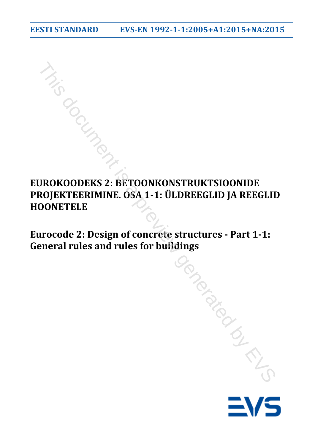# **EUROKOODEKS 2: BETOONKONSTRUKTSIOONIDE PROJEKTEERIMINE. OSA 1-1: ÜLDREEGLID JA REEGLID HOONETELE** THIS DOCUMENT SET OON KONSTRUKTSIOONIDE<br>
ROKOODEKS 2: BETOONKONSTRUKTSIOONIDE<br>
JONETELE<br>
ITOCODE 2: Design of concrete structures - Part 1-1:<br>
areral rules and rules for buildings<br>
According

**Eurocode 2: Design of concrete structures - Part 1-1: General rules and rules for buildings**

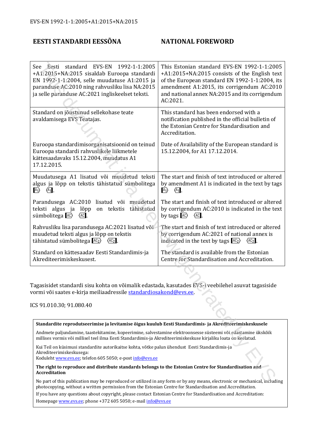### **EESTI STANDARDI EESSÕNA NATIONAL FOREWORD**

| See Eesti standard EVS-EN 1992-1-1:2005<br>+A1:2015+NA:2015 sisaldab Euroopa standardi<br>EN 1992-1-1:2004, selle muudatuse A1:2015 ja<br>paranduse AC:2010 ning rahvusliku lisa NA:2015<br>ja selle paranduse AC:2021 ingliskeelset teksti. | This Estonian standard EVS-EN 1992-1-1:2005<br>+A1:2015+NA:2015 consists of the English text<br>of the European standard EN 1992-1-1:2004, its<br>amendment A1:2015, its corrigendum AC:2010<br>and national annex NA:2015 and its corrigendum<br>AC:2021. |
|----------------------------------------------------------------------------------------------------------------------------------------------------------------------------------------------------------------------------------------------|------------------------------------------------------------------------------------------------------------------------------------------------------------------------------------------------------------------------------------------------------------|
| Standard on jõustunud sellekohase teate<br>avaldamisega EVS Teatajas.                                                                                                                                                                        | This standard has been endorsed with a<br>notification published in the official bulletin of<br>the Estonian Centre for Standardisation and<br>Accreditation.                                                                                              |
| Euroopa standardimisorganisatsioonid on teinud<br>Euroopa standardi rahvuslikele liikmetele<br>kättesaadavaks 15.12.2004, muudatus A1<br>17.12.2015.                                                                                         | Date of Availability of the European standard is<br>15.12.2004, for A1 17.12.2014.                                                                                                                                                                         |
| Muudatusega A1 lisatud või muudetud teksti<br>algus ja lõpp on tekstis tähistatud sümbolitega<br>$A_1$ $\langle A_1  $ .                                                                                                                     | The start and finish of text introduced or altered<br>by amendment A1 is indicated in the text by tags<br>$A_1$ $A_1$ .                                                                                                                                    |
| Parandusega AC:2010 lisatud või muudetud<br>teksti algus ja lõpp<br>on tekstis<br>tähistatud<br>sümbolitega AC<br>$\left\langle AC\right $ .                                                                                                 | The start and finish of text introduced or altered<br>by corrigendum AC:2010 is indicated in the text<br>by tags $AC$ $AC$ .                                                                                                                               |
| Rahvusliku lisa parandusega AC:2021 lisatud või<br>muudetud teksti algus ja lõpp on tekstis<br>tähistatud sümbolitega $AC_2$ $AC_2$ .                                                                                                        | The start and finish of text introduced or altered<br>by corrigendum AC:2021 of national annex is<br>indicated in the text by tags $AC2$ $AC2$ .                                                                                                           |
| Standard on kättesaadav Eesti Standardimis-ja<br>Akrediteerimiskeskusest.                                                                                                                                                                    | The standard is available from the Estonian<br>Centre for Standardisation and Accreditation.                                                                                                                                                               |
|                                                                                                                                                                                                                                              |                                                                                                                                                                                                                                                            |
| Tagasisidet standardi sisu kohta on võimalik edastada, kasutades EVS-i veebilehel asuvat tagasiside<br>vormi või saates e-kirja meiliaadressile standardiosakond@evs.ee.                                                                     |                                                                                                                                                                                                                                                            |
| ICS 91.010.30; 91.080.40                                                                                                                                                                                                                     |                                                                                                                                                                                                                                                            |
| Standardite reprodutseerimise ja levitamise õigus kuulub Eesti Standardimis- ja Akrediteerimiskeskusele                                                                                                                                      |                                                                                                                                                                                                                                                            |
| Andmete paljundamine, taastekitamine, kopeerimine, salvestamine elektroonsesse süsteemi või edastamine ükskõik<br>millises vormis või millisel teel ilma Eesti Standardimis-ja Akrediteerimiskeskuse kirjaliku loata on keelatud.            |                                                                                                                                                                                                                                                            |
| Kui Teil on küsimusi standardite autorikaitse kohta, võtke palun ühendust Eesti Standardimis-ja<br>Akrediteerimiskeskusega:<br>Koduleht www.evs.ee; telefon 605 5050; e-post info@evs.ee                                                     |                                                                                                                                                                                                                                                            |
| The right to reproduce and distribute standards belongs to the Estonian Centre for Standardisation and<br><b>Accreditation</b>                                                                                                               |                                                                                                                                                                                                                                                            |
|                                                                                                                                                                                                                                              | No part of this publication may be reproduced or utilized in any form or by any means, electronic or mechanical, including                                                                                                                                 |

### ICS 91.010.30; 91.080.40

No part of this publication may be reproduced or utilized in any form or by any means, electronic or mechanical, including photocopying, without a written permission from the Estonian Centre for Standardisation and Accreditation.

If you have any questions about copyright, please contact Estonian Centre for Standardisation and Accreditation:

Homepag[e www.evs.ee;](http://www.evs.ee/) phone +372 605 5050; e-mai[l info@evs.ee](mailto:info@evs.ee)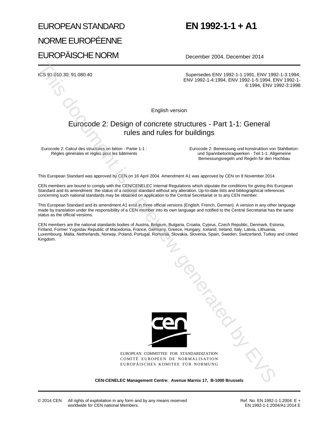# EUROPEAN STANDARD NORME EUROPÉENNE EUROPÄISCHE NORM

# **EN 1992-1-1 + A1**

December 2004, December 2014

ICS 91.010.30; 91.080.40 Supersedes ENV 1992-1-1:1991, ENV 1992-1-3:1994, ENV 1992-1-4:1994, ENV 1992-1-5:1994, ENV 1992-1- 6:1994, ENV 1992-3:1998

English version

### Eurocode 2: Design of concrete structures - Part 1-1: General rules and rules for buildings

Eurocode 2: Calcul des structures en béton - Partie 1-1 : Règles générales et règles pour les bâtiments

Eurocode 2: Bemessung und konstruktion von Stahlbetonund Spannbetontragwerken - Teil 1-1: Allgemeine Bemessungsregeln und Regeln für den Hochbau

This European Standard was approved by CEN on 16 April 2004. Amendment A1 was approved by CEN on 8 November 2014.

CEN members are bound to comply with the CEN/CENELEC Internal Regulations which stipulate the conditions for giving this European Standard and its amendment the status of a national standard without any alteration. Up-to-date lists and bibliographical references concerning such national standards may be obtained on application to the Central Secretariat or to any CEN member.

This European Standard and its amendment A1 exist in three official versions (English, French, German). A version in any other language made by translation under the responsibility of a CEN member into its own language and notified to the Central Secretariat has the same status as the official versions.

CEN members are the national standards bodies of Austria, Belgium, Bulgaria, Croatia, Cyprus, Czech Republic, Denmark, Estonia, Finland, Former Yugoslav Republic of Macedonia, France, Germany, Greece, Hungary, Iceland, Ireland, Italy, Latvia, Lithuania, Luxembourg, Malta, Netherlands, Norway, Poland, Portugal, Romania, Slovakia, Slovenia, Spain, Sweden, Switzerland, Turkey and United Kingdom.



EUROPEAN COMMITTEE FOR STANDARDIZATION COMITÉ EUROPÉEN DE NORMALISATION EUROPÄISCHES KOMITEE FÜR NORMUNG

**CEN-CENELEC Management Centre: Avenue Marnix 17, B-1000 Brussels**

© 2014 CEN All rights of exploitation in any form and by any means reserved worldwide for CEN national Members.

Ref. No. EN 1992-1-1:2004: E + EN 1992-1-1:2004/A1:2014 E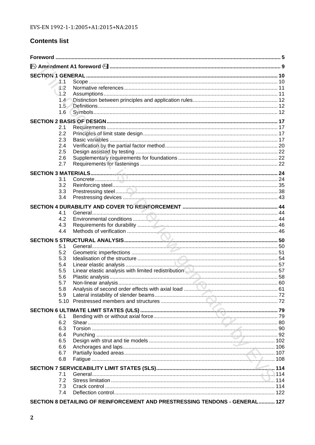### **Contents list**

| $-1:1$     |                                                                             |  |
|------------|-----------------------------------------------------------------------------|--|
| 1.2        |                                                                             |  |
| 1.2        |                                                                             |  |
| 1.4        |                                                                             |  |
| 1.5        |                                                                             |  |
| 1.6        |                                                                             |  |
|            |                                                                             |  |
| 2.1        |                                                                             |  |
| 2.2        |                                                                             |  |
| 2.3        |                                                                             |  |
| 2.4        |                                                                             |  |
| 2.5        |                                                                             |  |
| 2.6        |                                                                             |  |
| 2.7        |                                                                             |  |
|            |                                                                             |  |
| 3.1        |                                                                             |  |
| 3.2        |                                                                             |  |
| 3.3        |                                                                             |  |
| 3.4        |                                                                             |  |
|            |                                                                             |  |
| 4.1        |                                                                             |  |
| 4.2        |                                                                             |  |
| 4.3        |                                                                             |  |
| 4.4        |                                                                             |  |
|            |                                                                             |  |
| 5.1        |                                                                             |  |
| 5.2        |                                                                             |  |
| 5.3        |                                                                             |  |
| 5.4        |                                                                             |  |
| 5.5        |                                                                             |  |
| 5.6        |                                                                             |  |
| 5.7        |                                                                             |  |
| 5.8        |                                                                             |  |
|            |                                                                             |  |
|            |                                                                             |  |
|            |                                                                             |  |
| 6.1        |                                                                             |  |
| 6.2        |                                                                             |  |
| 6.3        |                                                                             |  |
| 6.4        |                                                                             |  |
| 6.5        |                                                                             |  |
| 6.6        |                                                                             |  |
| 6.7<br>6.8 |                                                                             |  |
|            |                                                                             |  |
|            |                                                                             |  |
| 7.1        |                                                                             |  |
| 7.2        |                                                                             |  |
| 7.3<br>7.4 |                                                                             |  |
|            |                                                                             |  |
|            | SECTION 8 DETAILING OF REINFORCEMENT AND PRESTRESSING TENDONS - GENERAL 127 |  |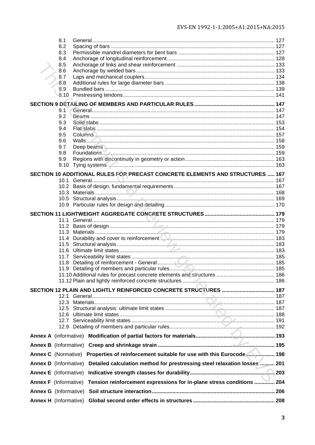| 8.1         |                                                                                                 |  |
|-------------|-------------------------------------------------------------------------------------------------|--|
| 8.2         |                                                                                                 |  |
| 8.3         |                                                                                                 |  |
| 8.4         |                                                                                                 |  |
| 8.5         |                                                                                                 |  |
| 8.6<br>8.7  |                                                                                                 |  |
| 8.8         |                                                                                                 |  |
| 8.9         |                                                                                                 |  |
| 8.10        |                                                                                                 |  |
|             |                                                                                                 |  |
| 9.1         |                                                                                                 |  |
| 9.2         |                                                                                                 |  |
| 9.3         |                                                                                                 |  |
| 9.4         |                                                                                                 |  |
| 9.5         |                                                                                                 |  |
| 9.6         |                                                                                                 |  |
| 9.7         |                                                                                                 |  |
| 9.8         |                                                                                                 |  |
| 9.9<br>9.10 |                                                                                                 |  |
|             |                                                                                                 |  |
|             | SECTION 10 ADDITIONAL RULES FOR PRECAST CONCRETE ELEMENTS AND STRUCTURES  167                   |  |
|             |                                                                                                 |  |
|             |                                                                                                 |  |
|             |                                                                                                 |  |
|             |                                                                                                 |  |
|             |                                                                                                 |  |
|             |                                                                                                 |  |
|             |                                                                                                 |  |
|             |                                                                                                 |  |
|             |                                                                                                 |  |
|             |                                                                                                 |  |
|             |                                                                                                 |  |
|             |                                                                                                 |  |
|             |                                                                                                 |  |
|             |                                                                                                 |  |
|             |                                                                                                 |  |
|             |                                                                                                 |  |
|             |                                                                                                 |  |
|             |                                                                                                 |  |
|             |                                                                                                 |  |
|             |                                                                                                 |  |
|             |                                                                                                 |  |
|             |                                                                                                 |  |
|             |                                                                                                 |  |
|             |                                                                                                 |  |
|             |                                                                                                 |  |
|             | Annex C (Normative) Properties of reinforcement suitable for use with this Eurocode 198         |  |
|             | Annex D (Informative) Detailed calculation method for prestressing steel relaxation losses  201 |  |
|             |                                                                                                 |  |
|             | Annex F (Informative) Tension reinforcement expressions for in-plane stress conditions  204     |  |
|             |                                                                                                 |  |
|             |                                                                                                 |  |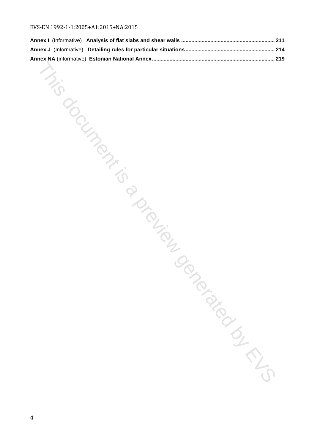### EVS-EN 1992-1-1:2005+A1:2015+NA:2015

| <b>CLANDRY</b><br><b>PIDENS</b><br>January 101/21/21 |  |
|------------------------------------------------------|--|
|                                                      |  |
|                                                      |  |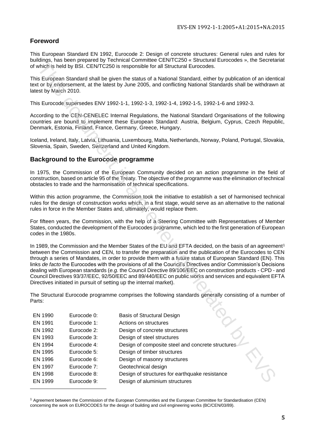### <span id="page-6-0"></span>**Foreword**

This European Standard EN 1992, Eurocode 2: Design of concrete structures: General rules and rules for buildings, has been prepared by Technical Committee CEN/TC250 « Structural Eurocodes », the Secretariat of which is held by BSI. CEN/TC250 is responsible for all Structural Eurocodes.

### **Background to the Eurocode programme**

| $500$ and $190$ , that booth properties by troubling of commutes being the source<br>of which is held by BSI. CEN/TC250 is responsible for all Structural Eurocodes.                                                                                                    |                                               |                                                                                                                                                                                                                                                                                                                                                                                                                                                                                                                                                                                                                                                                                                                                    |  |
|-------------------------------------------------------------------------------------------------------------------------------------------------------------------------------------------------------------------------------------------------------------------------|-----------------------------------------------|------------------------------------------------------------------------------------------------------------------------------------------------------------------------------------------------------------------------------------------------------------------------------------------------------------------------------------------------------------------------------------------------------------------------------------------------------------------------------------------------------------------------------------------------------------------------------------------------------------------------------------------------------------------------------------------------------------------------------------|--|
| This European Standard shall be given the status of a National Standard, either by publication of an identi<br>ext or by endorsement, at the latest by June 2005, and conflicting National Standards shall be withdrawr<br>atest by March 2010.                         |                                               |                                                                                                                                                                                                                                                                                                                                                                                                                                                                                                                                                                                                                                                                                                                                    |  |
| This Eurocode supersedes ENV 1992-1-1, 1992-1-3, 1992-1-4, 1992-1-5, 1992-1-6 and 1992-3.                                                                                                                                                                               |                                               |                                                                                                                                                                                                                                                                                                                                                                                                                                                                                                                                                                                                                                                                                                                                    |  |
| According to the CEN-CENELEC Internal Regulations, the National Standard Organisations of the follow<br>countries are bound to implement these European Standard: Austria, Belgium, Cyprus, Czech Repub<br>Denmark, Estonia, Finland, France, Germany, Greece, Hungary, |                                               |                                                                                                                                                                                                                                                                                                                                                                                                                                                                                                                                                                                                                                                                                                                                    |  |
|                                                                                                                                                                                                                                                                         |                                               | celand, Ireland, Italy, Latvia, Lithuania, Luxembourg, Malta, Netherlands, Norway, Poland, Portugal, Sloval<br>Slovenia, Spain, Sweden, Switzerland and United Kingdom.                                                                                                                                                                                                                                                                                                                                                                                                                                                                                                                                                            |  |
|                                                                                                                                                                                                                                                                         | Background to the Eurocode programme          |                                                                                                                                                                                                                                                                                                                                                                                                                                                                                                                                                                                                                                                                                                                                    |  |
|                                                                                                                                                                                                                                                                         |                                               |                                                                                                                                                                                                                                                                                                                                                                                                                                                                                                                                                                                                                                                                                                                                    |  |
|                                                                                                                                                                                                                                                                         |                                               | n 1975, the Commission of the European Community decided on an action programme in the field<br>construction, based on article 95 of the Treaty. The objective of the programme was the elimination of techni<br>obstacles to trade and the harmonisation of technical specifications.                                                                                                                                                                                                                                                                                                                                                                                                                                             |  |
|                                                                                                                                                                                                                                                                         |                                               | Within this action programme, the Commission took the initiative to establish a set of harmonised techni<br>ules for the design of construction works which, in a first stage, would serve as an alternative to the natio<br>ules in force in the Member States and, ultimately, would replace them.                                                                                                                                                                                                                                                                                                                                                                                                                               |  |
| codes in the 1980s.                                                                                                                                                                                                                                                     |                                               | For fifteen years, the Commission, with the help of a Steering Committee with Representatives of Mem<br>States, conducted the development of the Eurocodes programme, which led to the first generation of Europe                                                                                                                                                                                                                                                                                                                                                                                                                                                                                                                  |  |
|                                                                                                                                                                                                                                                                         |                                               | n 1989, the Commission and the Member States of the EU and EFTA decided, on the basis of an agreeme<br>between the Commission and CEN, to transfer the preparation and the publication of the Eurocodes to C<br>hrough a series of Mandates, in order to provide them with a future status of European Standard (EN). T<br>inks de facto the Eurocodes with the provisions of all the Council's Directives and/or Commission's Decisio<br>3- dealing with European standards (e.g. the Council Directive 89/106/EEC on construction products - CPD<br>Council Directives 93/37/EEC, 92/50/EEC and 89/440/EEC on public works and services and equivalent EF<br>Directives initiated in pursuit of setting up the internal market). |  |
| Parts:                                                                                                                                                                                                                                                                  |                                               | The Structural Eurocode programme comprises the following standards generally consisting of a number                                                                                                                                                                                                                                                                                                                                                                                                                                                                                                                                                                                                                               |  |
| EN 1990                                                                                                                                                                                                                                                                 | Eurocode 0:                                   | <b>Basis of Structural Design</b>                                                                                                                                                                                                                                                                                                                                                                                                                                                                                                                                                                                                                                                                                                  |  |
| EN 1991                                                                                                                                                                                                                                                                 | Eurocode 1:                                   | Actions on structures                                                                                                                                                                                                                                                                                                                                                                                                                                                                                                                                                                                                                                                                                                              |  |
| EN 1992                                                                                                                                                                                                                                                                 | Eurocode 2:                                   | Design of concrete structures                                                                                                                                                                                                                                                                                                                                                                                                                                                                                                                                                                                                                                                                                                      |  |
| EN 1993                                                                                                                                                                                                                                                                 | Eurocode 3:                                   | Design of steel structures                                                                                                                                                                                                                                                                                                                                                                                                                                                                                                                                                                                                                                                                                                         |  |
| EN 1994                                                                                                                                                                                                                                                                 | Eurocode 4:                                   | Design of composite steel and concrete structures                                                                                                                                                                                                                                                                                                                                                                                                                                                                                                                                                                                                                                                                                  |  |
| EN 1995                                                                                                                                                                                                                                                                 | Eurocode 5:                                   | Design of timber structures                                                                                                                                                                                                                                                                                                                                                                                                                                                                                                                                                                                                                                                                                                        |  |
| EN 1996                                                                                                                                                                                                                                                                 | Eurocode 6:                                   | Design of masonry structures                                                                                                                                                                                                                                                                                                                                                                                                                                                                                                                                                                                                                                                                                                       |  |
| EN 1997                                                                                                                                                                                                                                                                 | Eurocode 7:                                   | Geotechnical design                                                                                                                                                                                                                                                                                                                                                                                                                                                                                                                                                                                                                                                                                                                |  |
| EN 1998                                                                                                                                                                                                                                                                 | Eurocode 8:                                   | Design of structures for earthquake resistance                                                                                                                                                                                                                                                                                                                                                                                                                                                                                                                                                                                                                                                                                     |  |
| EN 1999                                                                                                                                                                                                                                                                 | Eurocode 9:<br>Design of aluminium structures |                                                                                                                                                                                                                                                                                                                                                                                                                                                                                                                                                                                                                                                                                                                                    |  |
|                                                                                                                                                                                                                                                                         |                                               |                                                                                                                                                                                                                                                                                                                                                                                                                                                                                                                                                                                                                                                                                                                                    |  |

<sup>&</sup>lt;sup>1</sup> Agreement between the Commission of the European Communities and the European Committee for Standardisation (CEN) concerning the work on EUROCODES for the design of building and civil engineering works (BC/CEN/03/89).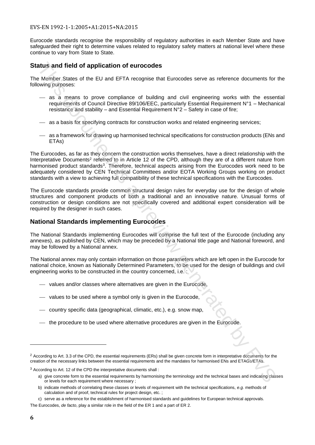### EVS-EN 1992-1-1:2005+A1:2015+NA:2015

Eurocode standards recognise the responsibility of regulatory authorities in each Member State and have safeguarded their right to determine values related to regulatory safety matters at national level where these continue to vary from State to State.

### **Status and field of application of eurocodes**

The Member States of the EU and EFTA recognise that Eurocodes serve as reference documents for the following purposes:

- $-$  as a means to prove compliance of building and civil engineering works with the essential requirements of Council Directive 89/106/EEC, particularly Essential Requirement N°1 – Mechanical resistance and stability – and Essential Requirement N°2 – Safety in case of fire;
- $-$  as a basis for specifying contracts for construction works and related engineering services;
- as a framework for drawing up harmonised technical specifications for construction products (ENs and ETAs)

The Eurocodes, as far as they concern the construction works themselves, have a direct relationship with the Interpretative Documents<sup>2</sup> referred to in Article 12 of the CPD, although they are of a different nature from harmonised product standards<sup>3</sup>. Therefore, technical aspects arising from the Eurocodes work need to be adequately considered by CEN Technical Committees and/or EOTA Working Groups working on product standards with a view to achieving full compatibility of these technical specifications with the Eurocodes. atus and field of application of eurocodes<br>
Member State state the EU and EFTA recognise that Eurocodes serve as reference documents for<br>
world planposes:<br>
— as a memas to prove complisions and building and civil engineemi

The Eurocode standards provide common structural design rules for everyday use for the design of whole structures and component products of both a traditional and an innovative nature. Unusual forms of construction or design conditions are not specifically covered and additional expert consideration will be required by the designer in such cases.

### **National Standards implementing Eurocodes**

The National Standards implementing Eurocodes will comprise the full text of the Eurocode (including any annexes), as published by CEN, which may be preceded by a National title page and National foreword, and may be followed by a National annex.

The National annex may only contain information on those parameters which are left open in the Eurocode for national choice, known as Nationally Determined Parameters, to be used for the design of buildings and civil engineering works to be constructed in the country concerned, i.e.

- values and/or classes where alternatives are given in the Eurocode,
- values to be used where a symbol only is given in the Eurocode,
- ⎯ country specific data (geographical, climatic, etc.), e.g. snow map,
- the procedure to be used where alternative procedures are given in the Eurocode.

<sup>&</sup>lt;sup>2</sup> According to Art. 3.3 of the CPD, the essential requirements (ERs) shall be given concrete form in interpretative documents for the creation of the necessary links between the essential requirements and the mandates for harmonised ENs and ETAGs/ETAs.

<sup>3</sup> According to Art. 12 of the CPD the interpretative documents shall :

a) give concrete form to the essential requirements by harmonising the terminology and the technical bases and indicating classes or levels for each requirement where necessary ;

b) indicate methods of correlating these classes or levels of requirement with the technical specifications, *e.g.* methods of calculation and of proof, technical rules for project design, etc.;

c) serve as a reference for the establishment of harmonised standards and guidelines for European technical approvals.

The Eurocodes, *de facto*, play a similar role in the field of the ER 1 and a part of ER 2.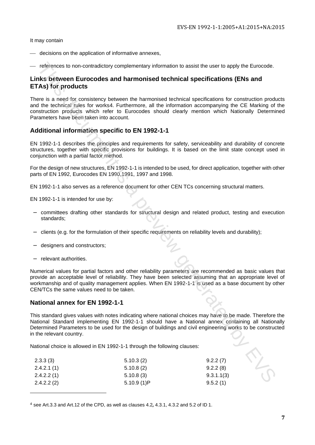It may contain

- $\overline{\phantom{a}}$  decisions on the application of informative annexes,
- ⎯ references to non-contradictory complementary information to assist the user to apply the Eurocode.

### **Links between Eurocodes and harmonised technical specifications (ENs and ETAs) for products**

There is a need for consistency between the harmonised technical specifications for construction products and the technical rules for works4. Furthermore, all the information accompanying the CE Marking of the construction products which refer to Eurocodes should clearly mention which Nationally Determined Parameters have been taken into account. relearnos to non-contradictory complementary information to assist the user to apply the Eurocode.<br> **As between Eurocodes and harmonised technical specifications (ENs and<br>
As) For products<br>
Set is a need for consistency b** 

### **Additional information specific to EN 1992-1-1**

EN 1992-1-1 describes the principles and requirements for safety, serviceability and durability of concrete structures, together with specific provisions for buildings. It is based on the limit state concept used in conjunction with a partial factor method.

For the design of new structures, EN 1992-1-1 is intended to be used, for direct application, together with other parts of EN 1992, Eurocodes EN 1990,1991, 1997 and 1998.

EN 1992-1-1 also serves as a reference document for other CEN TCs concerning structural matters.

EN 1992-1-1 is intended for use by:

- committees drafting other standards for structural design and related product, testing and execution standards;
- clients (e.g. for the formulation of their specific requirements on reliability levels and durability);
- designers and constructors;
- relevant authorities.

Numerical values for partial factors and other reliability parameters are recommended as basic values that provide an acceptable level of reliability. They have been selected assuming that an appropriate level of workmanship and of quality management applies. When EN 1992-1-1 is used as a base document by other CEN/TCs the same values need to be taken.

### **National annex for EN 1992-1-1**

This standard gives values with notes indicating where national choices may have to be made. Therefore the National Standard implementing EN 1992-1-1 should have a National annex containing all Nationally Determined Parameters to be used for the design of buildings and civil engineering works to be constructed in the relevant country.

National choice is allowed in EN 1992-1-1 through the following clauses:

| 2.3.3(3)   | 5.10.3(2)  | 9.2.2(7)   |
|------------|------------|------------|
| 2.4.2.1(1) | 5.10.8(2)  | 9.2.2(8)   |
| 2.4.2.2(1) | 5.10.8(3)  | 9.3.1.1(3) |
| 2.4.2.2(2) | 5.10.9(1)P | 9.5.2(1)   |

<sup>4</sup> see Art.3.3 and Art.12 of the CPD, as well as clauses 4.2*,* 4.3.1, 4.3.2 and 5.2 of ID 1.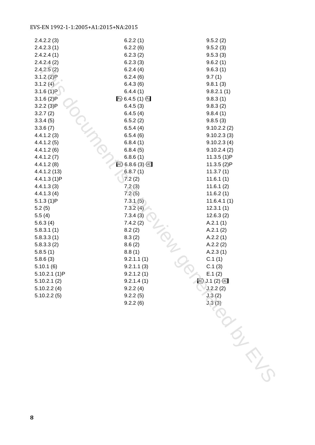| 2.4.2.2(3)                 | 6.2.2(1)                                    | 9.5.2(2)          |
|----------------------------|---------------------------------------------|-------------------|
| 2.4.2.3(1)                 | 6.2.2(6)                                    | 9.5.2(3)          |
| 2.4.2.4(1)                 | 6.2.3(2)                                    | 9.5.3(3)          |
| 2.4.2.4(2)                 | 6.2.3(3)                                    | 9.6.2(1)          |
| 2.4.2.5(2)                 | 6.2.4(4)                                    | 9.6.3(1)          |
| 3.1.2(2)P                  | 6.2.4(6)                                    | 9.7(1)            |
| 3.1.2(4)                   | 6.4.3(6)                                    | 9.8.1(3)          |
| 3.1.6(1)P                  | 6.4.4(1)                                    | 9.8.2.1(1)        |
| 3.1.6(2)P                  | $\overline{A_1}$ 6.4.5 (1) $\overline{A_1}$ | 9.8.3(1)          |
| 3.2.2(3)P                  | 6.4.5(3)                                    | 9.8.3(2)          |
| 3.2.7(2)                   | 6.4.5(4)                                    | 9.8.4(1)          |
| 3.3.4(5)                   | 6.5.2(2)                                    | 9.8.5(3)          |
| 3.3.6(7)                   | 6.5.4(4)                                    | 9.10.2.2(2)       |
| 4.4.1.2(3)                 | 6.5.4(6)                                    | 9.10.2.3(3)       |
| 4.4.1.2(5)                 | 6.8.4(1)                                    | 9.10.2.3(4)       |
| 4.4.1.2(6)                 | 6.8.4(5)                                    | 9.10.2.4(2)       |
| 4.4.1.2(7)                 | 6.8.6(1)                                    | 11.3.5(1)P        |
| 4.4.1.2(8)                 | $AC$ 6.8.6 (3) $AC$                         | 11.3.5(2)P        |
| 4.4.1.2(13)                | 6.8.7(1)                                    | 11.3.7(1)         |
| 4.4.1.3(1)P                | 7.2(2)                                      | 11.6.1(1)         |
| 4.4.1.3(3)                 | 7.2(3)                                      | 11.6.1(2)         |
| 4.4.1.3(4)                 | 7.2(5)                                      | 11.6.2(1)         |
| 5.1.3(1)P                  | 7.3.1(5)                                    | 11.6.4.1(1)       |
| 5.2(5)                     | 7.3.2(4)                                    | 12.3.1(1)         |
| 5.5(4)                     | 7.3.4(3)                                    | 12.6.3(2)         |
| 5.6.3(4)                   | 7.4.2(2)                                    | A.2.1(1)          |
| 5.8.3.1(1)                 | 8.2(2)                                      | A.2.1(2)          |
| 5.8.3.3(1)                 | 8.3(2)                                      | A.2.2(1)          |
| 5.8.3.3(2)                 | 8.6(2)                                      | A.2.2(2)          |
| 5.8.5(1)                   | 8.8(1)                                      | A.2.3(1)          |
|                            | 9.2.1.1(1)                                  | C.1(1)            |
| 5.8.6(3)<br>5.10.1(6)      | 9.2.1.1(3)                                  | C.1(3)            |
| 5.10.2.1(1)P               | 9.2.1.2(1)                                  | E.1(2)            |
|                            |                                             | $AC$ J.1 (2) $AC$ |
| 5.10.2.1(2)<br>5.10.2.2(4) | 9.2.1.4(1)                                  |                   |
|                            | 9.2.2(4)                                    | J.2.2(2)          |
| 5.10.2.2(5)                | 9.2.2(5)                                    | J.3(2)            |
|                            | 9.2.2(6)                                    | J.3(3)            |
|                            |                                             |                   |
|                            |                                             |                   |
|                            |                                             |                   |
|                            |                                             |                   |
|                            |                                             |                   |
|                            |                                             |                   |
|                            |                                             |                   |
|                            |                                             |                   |
|                            |                                             |                   |
|                            |                                             |                   |
|                            |                                             |                   |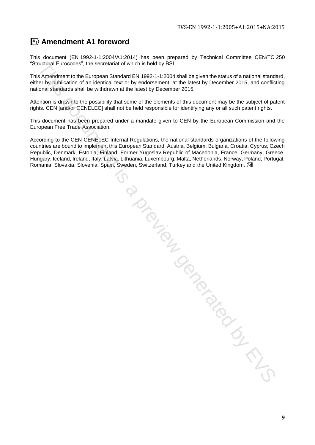## <span id="page-10-0"></span>**Amendment A1 foreword**

This document (EN 1992-1-1:2004/A1:2014) has been prepared by Technical Committee CEN/TC 250 "Structural Eurocodes", the secretariat of which is held by BSI.

This Amendment to the European Standard EN 1992-1-1:2004 shall be given the status of a national standard, either by publication of an identical text or by endorsement, at the latest by December 2015, and conflicting national standards shall be withdrawn at the latest by December 2015.

Attention is drawn to the possibility that some of the elements of this document may be the subject of patent rights. CEN [and/or CENELEC] shall not be held responsible for identifying any or all such patent rights.

This document has been prepared under a mandate given to CEN by the European Commission and the European Free Trade Association.

According to the CEN-CENELEC Internal Regulations, the national standards organizations of the following countries are bound to implement this European Standard: Austria, Belgium, Bulgaria, Croatia, Cyprus, Czech Republic, Denmark, Estonia, Finland, Former Yugoslav Republic of Macedonia, France, Germany, Greece, Hungary, Iceland, Ireland, Italy, Latvia, Lithuania, Luxembourg, Malta, Netherlands, Norway, Poland, Portugal, Romania, Slovakia, Slovenia, Spain, Sweden, Switzerland, Turkey and the United Kingdom. (41)

is don contract is a previous of the contract of the contract of the contract of the contract of the contract of the contract of the contract of the contract of the contract of the contract of the contract of the contract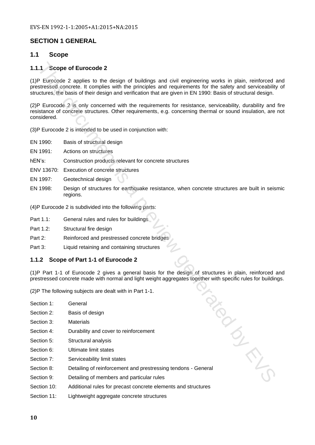### <span id="page-11-0"></span>**SECTION 1 GENERAL**

### <span id="page-11-1"></span>**1.1 Scope**

### **1.1.1 Scope of Eurocode 2**

(1)P Eurocode 2 applies to the design of buildings and civil engineering works in plain, reinforced and prestressed concrete. It complies with the principles and requirements for the safety and serviceability of structures, the basis of their design and verification that are given in EN 1990: Basis of structural design.

(2)P Eurocode 2 is only concerned with the requirements for resistance, serviceability, durability and fire resistance of concrete structures. Other requirements, e.g. concerning thermal or sound insulation, are not considered.

(3)P Eurocode 2 is intended to be used in conjunction with:

- EN 1990: Basis of structural design
- EN 1991: Actions on structures
- hEN's: Construction products relevant for concrete structures
- ENV 13670: Execution of concrete structures
- EN 1997: Geotechnical design
- EN 1998: Design of structures for earthquake resistance, when concrete structures are built in seismic regions.

(4)P Eurocode 2 is subdivided into the following parts:

- Part 1.1: General rules and rules for buildings
- Part 1.2: Structural fire design
- Part 2: Reinforced and prestressed concrete bridges
- Part 3: Liquid retaining and containing structures

### **1.1.2 Scope of Part 1-1 of Eurocode 2**

(1)P Part 1-1 of Eurocode 2 gives a general basis for the design of structures in plain, reinforced and prestressed concrete made with normal and light weight aggregates together with specific rules for buildings.

(2)P The following subjects are dealt with in Part 1-1.

- Section 1: General
- Section 2: Basis of design
- Section 3: Materials
- Section 4: Durability and cover to reinforcement
- Section 5: Structural analysis
- Section 6: Ultimate limit states
- Section 7: Serviceability limit states
- Section 8: Detailing of reinforcement and prestressing tendons General This document is
- Section 9: Detailing of members and particular rules
- Section 10: Additional rules for precast concrete elements and structures
- Section 11: Lightweight aggregate concrete structures